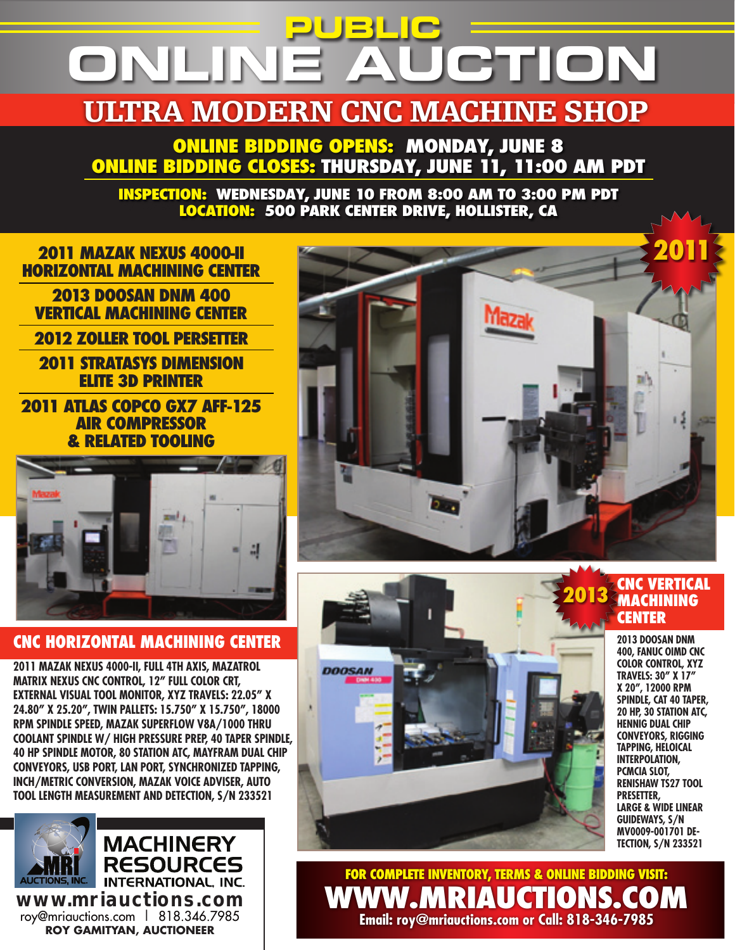# **PUBLIC ONLINE AUCTION**

# ULTRA MODERN CNC MACHINE SHOP

**ONLINE BIDDING OPENS: MONDAY, JUNE 8 ONLINE BIDDING CLOSES: THURSDAY, JUNE 11, 11:00 AM PDT**

**INSPECTION: WEDNESDAY, JUNE 10 FROM 8:00 AM TO 3:00 PM PDT LOCATION: 500 PARK CENTER DRIVE, HOLLISTER, CA**



### **CNC HORIZONTAL MACHINING CENTER**

**2011 MAZAK NEXUS 4000-II, FULL 4TH AXIS, MAZATROL MATRIX NEXUS CNC CONTROL, 12" FULL COLOR CRT, EXTERNAL VISUAL TOOL MONITOR, XYZ TRAVELS: 22.05" X 24.80" X 25.20", TWIN PALLETS: 15.750" X 15.750", 18000 RPM SPINDLE SPEED, MAZAK SUPERFLOW V8A/1000 THRU COOLANT SPINDLE W/ HIGH PRESSURE PREP, 40 TAPER SPINDLE, 40 HP SPINDLE MOTOR, 80 STATION ATC, MAYFRAM DUAL CHIP CONVEYORS, USB PORT, LAN PORT, SYNCHRONIZED TAPPING, INCH/METRIC CONVERSION, MAZAK VOICE ADVISER, AUTO TOOL LENGTH MEASUREMENT AND DETECTION, S/N 233521**





# **MACHINING CENTER**

**2013 DOOSAN DNM 400, FANUC OiMD CNC COLOR CONTROL, XYZ TRAVELS: 30" X 17" X 20", 12000 RPM SPINDLE, CAT 40 TAPER, 20 HP, 30 STATION ATC, HENNIG DUAL CHIP CONVEYORS, RIGGING TAPPING, HELOICAL INTERPOLATION, PCMCIA SLOT, RENISHAW TS27 TOOL PRESETTER, LARGE & WIDE LINEAR GUIDEWAYS, S/N MV0009-001701 DE-TECTION, S/N 233521**

**For COMPLETE inventory, Terms & ONLINE BIDDING visit: www.mriauctions.com Email: roy@mriauctions.com or Call: 818-346-7985**